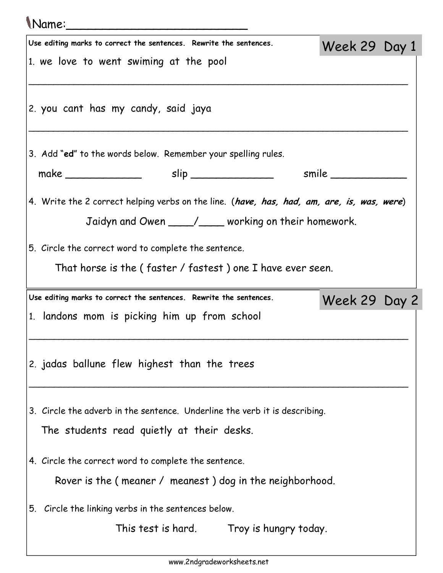## Name:\_\_\_\_\_\_\_\_\_\_\_\_\_\_\_\_\_\_\_\_\_\_\_\_\_ Use editing marks to correct the sentences. Rewrite the sentences. 1. we love to went swiming at the pool \_\_\_\_\_\_\_\_\_\_\_\_\_\_\_\_\_\_\_\_\_\_\_\_\_\_\_\_\_\_\_\_\_\_\_\_\_\_\_\_\_\_\_\_\_\_\_\_\_\_\_\_\_\_\_\_\_\_\_\_\_\_\_\_\_\_\_\_\_\_\_\_\_\_\_\_ 2. you cant has my candy, said jaya \_\_\_\_\_\_\_\_\_\_\_\_\_\_\_\_\_\_\_\_\_\_\_\_\_\_\_\_\_\_\_\_\_\_\_\_\_\_\_\_\_\_\_\_\_\_\_\_\_\_\_\_\_\_\_\_\_\_\_\_\_\_\_\_\_\_\_\_\_\_\_\_\_\_\_\_ 3. Add "ed" to the words below. Remember your spelling rules. make \_\_\_\_\_\_\_\_\_\_\_\_ slip \_\_\_\_\_\_\_\_\_\_\_\_\_ smile \_\_\_\_\_\_\_\_\_\_\_\_ 4. Write the 2 correct helping verbs on the line. (have, has, had, am, are, is, was, were) Jaidyn and Owen \_\_\_\_/\_\_\_ working on their homework. 5. Circle the correct word to complete the sentence. That horse is the ( faster / fastest ) one I have ever seen. Week 29 Day 1 Use editing marks to correct the sentences. Rewrite the sentences. 1. landons mom is picking him up from school \_\_\_\_\_\_\_\_\_\_\_\_\_\_\_\_\_\_\_\_\_\_\_\_\_\_\_\_\_\_\_\_\_\_\_\_\_\_\_\_\_\_\_\_\_\_\_\_\_\_\_\_\_\_\_\_\_\_\_\_\_\_\_\_\_\_\_\_\_\_\_\_\_\_\_\_ 2. jadas ballune flew highest than the trees \_\_\_\_\_\_\_\_\_\_\_\_\_\_\_\_\_\_\_\_\_\_\_\_\_\_\_\_\_\_\_\_\_\_\_\_\_\_\_\_\_\_\_\_\_\_\_\_\_\_\_\_\_\_\_\_\_\_\_\_\_\_\_\_\_\_\_\_\_\_\_\_\_\_\_\_ 3. Circle the adverb in the sentence. Underline the verb it is describing. The students read quietly at their desks. 4. Circle the correct word to complete the sentence. Rover is the ( meaner / meanest ) dog in the neighborhood. 5. Circle the linking verbs in the sentences below. This test is hard. Troy is hungry today. Week 29 Day 2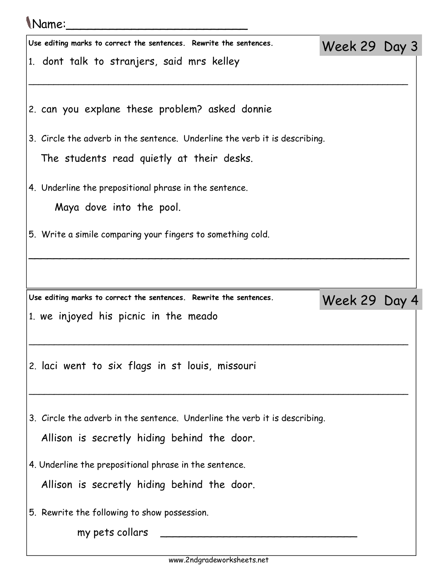## Name:\_\_\_\_\_\_\_\_\_\_\_\_\_\_\_\_\_\_\_\_\_\_\_\_\_

| U VUITIUT                                                                  |               |  |
|----------------------------------------------------------------------------|---------------|--|
| Use editing marks to correct the sentences. Rewrite the sentences.         | Week 29 Day 3 |  |
| 1. dont talk to stranjers, said mrs kelley                                 |               |  |
|                                                                            |               |  |
| 2. can you explane these problem? asked donnie                             |               |  |
| 3. Circle the adverb in the sentence. Underline the verb it is describing. |               |  |
| The students read quietly at their desks.                                  |               |  |
|                                                                            |               |  |
| 4. Underline the prepositional phrase in the sentence.                     |               |  |
| Maya dove into the pool.                                                   |               |  |
| 5. Write a simile comparing your fingers to something cold.                |               |  |
|                                                                            |               |  |
|                                                                            |               |  |
|                                                                            |               |  |
|                                                                            |               |  |
| Use editing marks to correct the sentences. Rewrite the sentences.         | Week 29 Day 4 |  |
| 1. we injoyed his picnic in the meado                                      |               |  |
|                                                                            |               |  |
| 2. laci went to six flags in st louis, missouri                            |               |  |
|                                                                            |               |  |
|                                                                            |               |  |
| 3. Circle the adverb in the sentence. Underline the verb it is describing. |               |  |
| Allison is secretly hiding behind the door.                                |               |  |
| 4. Underline the prepositional phrase in the sentence.                     |               |  |
| Allison is secretly hiding behind the door.                                |               |  |
|                                                                            |               |  |
| 5. Rewrite the following to show possession.<br>my pets collars            |               |  |